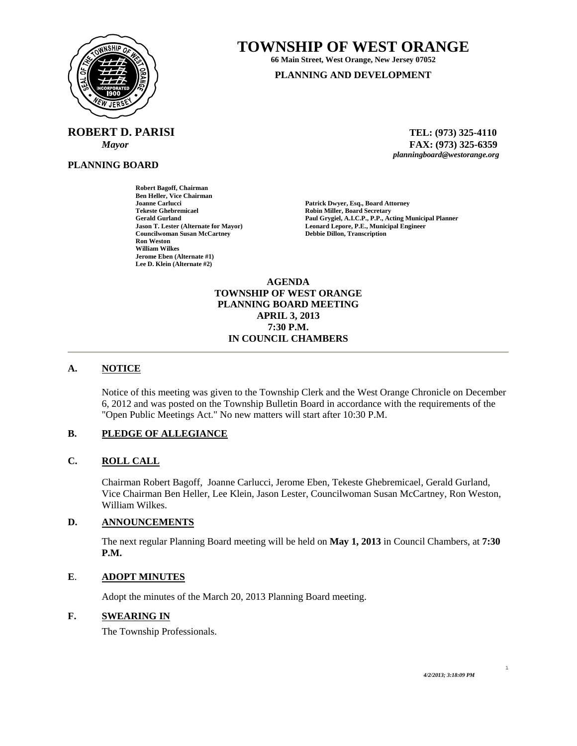

**ROBERT D. PARISI TEL: (973) 325-4110** 

**PLANNING BOARD**

**TOWNSHIP OF WEST ORANGE** 

**66 Main Street, West Orange, New Jersey 07052 PLANNING AND DEVELOPMENT**

 *Mayor* **FAX: (973) 325-6359** *planningboard@westorange.org* 

**Gerald Gurland Paul Grygiel, A.I.C.P., P.P., Acting Municipal Planner Leonard Lepore, P.E., Municipal Engineer Debbie Dillon, Transcription** 

**Ben Heller, Vice Chairman Joanne Carlucci Patrick Dwyer, Esq., Board Attorney Tekeste Ghebremicael Robin Miller, Board Secretary Councilwoman Susan McCartney Ron Weston William Wilkes Jerome Eben (Alternate #1) Lee D. Klein (Alternate #2)** 

**Robert Bagoff, Chairman** 

**AGENDA TOWNSHIP OF WEST ORANGE PLANNING BOARD MEETING APRIL 3, 2013 7:30 P.M. IN COUNCIL CHAMBERS** 

# **A. NOTICE**

Notice of this meeting was given to the Township Clerk and the West Orange Chronicle on December 6, 2012 and was posted on the Township Bulletin Board in accordance with the requirements of the "Open Public Meetings Act." No new matters will start after 10:30 P.M.

## **B. PLEDGE OF ALLEGIANCE**

## **C. ROLL CALL**

Chairman Robert Bagoff, Joanne Carlucci, Jerome Eben, Tekeste Ghebremicael, Gerald Gurland, Vice Chairman Ben Heller, Lee Klein, Jason Lester, Councilwoman Susan McCartney, Ron Weston, William Wilkes.

#### **D. ANNOUNCEMENTS**

The next regular Planning Board meeting will be held on **May 1, 2013** in Council Chambers, at **7:30 P.M.** 

#### **E**. **ADOPT MINUTES**

Adopt the minutes of the March 20, 2013 Planning Board meeting.

## **F. SWEARING IN**

The Township Professionals.